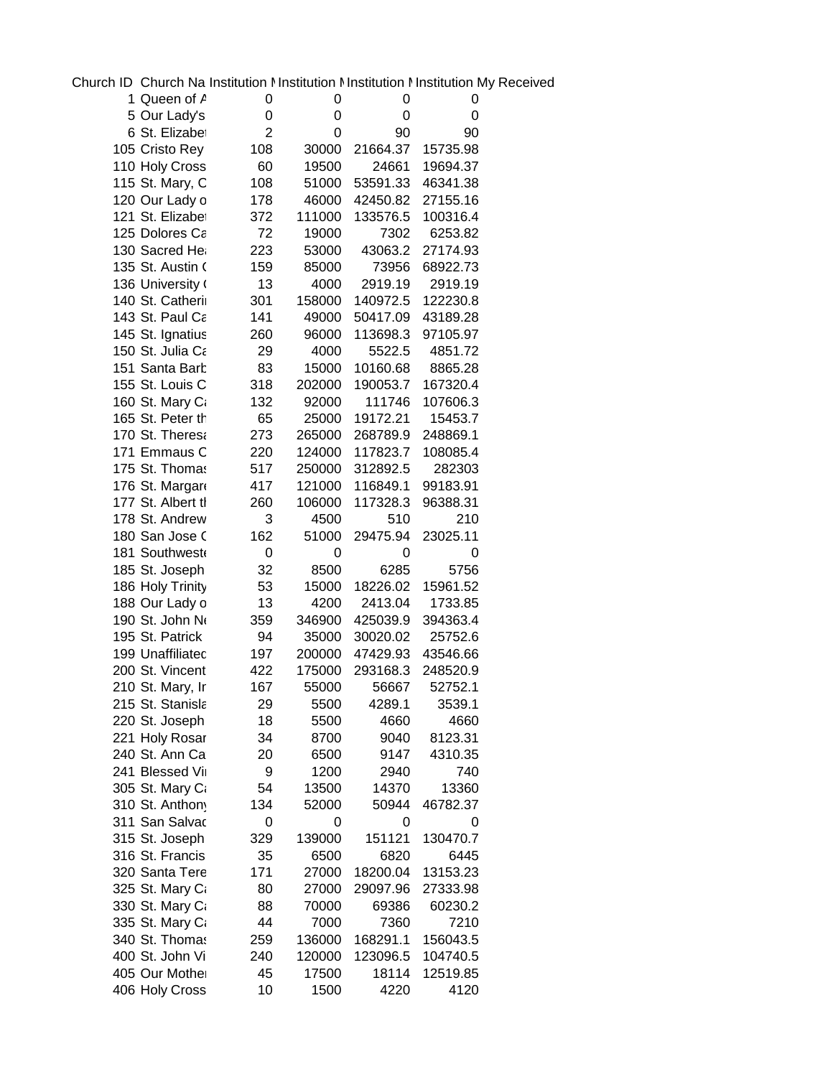Church ID Church Na Institution Mnstitution Minstitution Minstitution My Received

| 1 Queen of A      | 0              | 0            | 0        | 0             |  |
|-------------------|----------------|--------------|----------|---------------|--|
| 5 Our Lady's      | 0              | 0            | 0        | 0             |  |
| 6 St. Elizabet    | $\overline{2}$ | 0            | 90       | 90            |  |
| 105 Cristo Rey    | 108            | 30000        | 21664.37 | 15735.98      |  |
| 110 Holy Cross    | 60             | 19500        | 24661    | 19694.37      |  |
| 115 St. Mary, C   | 108            | 51000        | 53591.33 | 46341.38      |  |
| 120 Our Lady o    | 178            | 46000        | 42450.82 | 27155.16      |  |
| 121 St. Elizabet  | 372            | 111000       | 133576.5 | 100316.4      |  |
| 125 Dolores Ca    | 72             | 19000        | 7302     | 6253.82       |  |
| 130 Sacred He     | 223            | 53000        | 43063.2  | 27174.93      |  |
| 135 St. Austin (  | 159            | 85000        | 73956    | 68922.73      |  |
| 136 University (  | 13             | 4000         | 2919.19  | 2919.19       |  |
| 140 St. Catherii  | 301            | 158000       | 140972.5 | 122230.8      |  |
| 143 St. Paul Ca   | 141            | 49000        | 50417.09 | 43189.28      |  |
| 145 St. Ignatius  | 260            | 96000        | 113698.3 | 97105.97      |  |
| 150 St. Julia Ca  | 29             | 4000         | 5522.5   | 4851.72       |  |
| 151 Santa Barb    | 83             | 15000        | 10160.68 | 8865.28       |  |
| 155 St. Louis C   | 318            | 202000       | 190053.7 | 167320.4      |  |
| 160 St. Mary Ca   | 132            | 92000        | 111746   | 107606.3      |  |
| 165 St. Peter th  | 65             | 25000        | 19172.21 | 15453.7       |  |
| 170 St. Theresa   | 273            | 265000       | 268789.9 | 248869.1      |  |
| 171 Emmaus C      | 220            | 124000       | 117823.7 | 108085.4      |  |
| 175 St. Thomas    | 517            | 250000       | 312892.5 | 282303        |  |
| 176 St. Margare   | 417            | 121000       | 116849.1 | 99183.91      |  |
| 177 St. Albert tl | 260            | 106000       | 117328.3 | 96388.31      |  |
| 178 St. Andrew    | 3              | 4500         | 510      | 210           |  |
| 180 San Jose C    | 162            | 51000        | 29475.94 | 23025.11      |  |
| 181 Southwest     | 0              | 0            | 0        | 0             |  |
| 185 St. Joseph    | 32             | 8500         | 6285     | 5756          |  |
| 186 Holy Trinity  | 53             | 15000        | 18226.02 | 15961.52      |  |
| 188 Our Lady o    | 13             | 4200         | 2413.04  | 1733.85       |  |
| 190 St. John No   | 359            | 346900       | 425039.9 | 394363.4      |  |
| 195 St. Patrick   | 94             | 35000        | 30020.02 | 25752.6       |  |
| 199 Unaffiliatec  | 197            | 200000       | 47429.93 | 43546.66      |  |
| 200 St. Vincent   | 422            | 175000       | 293168.3 | 248520.9      |  |
| 210 St. Mary, Ir  | 167            | 55000        | 56667    | 52752.1       |  |
| 215 St. Stanisla  | 29             | 5500         | 4289.1   | 3539.1        |  |
| 220 St. Joseph    | 18             | 5500         | 4660     | 4660          |  |
| 221 Holy Rosar    | 34             |              | 9040     | 8123.31       |  |
| 240 St. Ann Ca    | 20             | 8700<br>6500 | 9147     | 4310.35       |  |
| 241 Blessed Vir   | 9              | 1200         | 2940     | 740           |  |
| 305 St. Mary Ca   | 54             | 13500        | 14370    | 13360         |  |
| 310 St. Anthony   | 134            | 52000        | 50944    | 46782.37      |  |
| 311 San Salvac    | 0              | 0            | 0        |               |  |
|                   |                | 139000       | 151121   | 0<br>130470.7 |  |
| 315 St. Joseph    | 329            |              |          |               |  |
| 316 St. Francis   | 35             | 6500         | 6820     | 6445          |  |
| 320 Santa Tere    | 171            | 27000        | 18200.04 | 13153.23      |  |
| 325 St. Mary Ca   | 80             | 27000        | 29097.96 | 27333.98      |  |
| 330 St. Mary Ca   | 88             | 70000        | 69386    | 60230.2       |  |
| 335 St. Mary Ca   | 44             | 7000         | 7360     | 7210          |  |
| 340 St. Thomas    | 259            | 136000       | 168291.1 | 156043.5      |  |
| 400 St. John Vi   | 240            | 120000       | 123096.5 | 104740.5      |  |
| 405 Our Mother    | 45             | 17500        | 18114    | 12519.85      |  |
| 406 Holy Cross    | 10             | 1500         | 4220     | 4120          |  |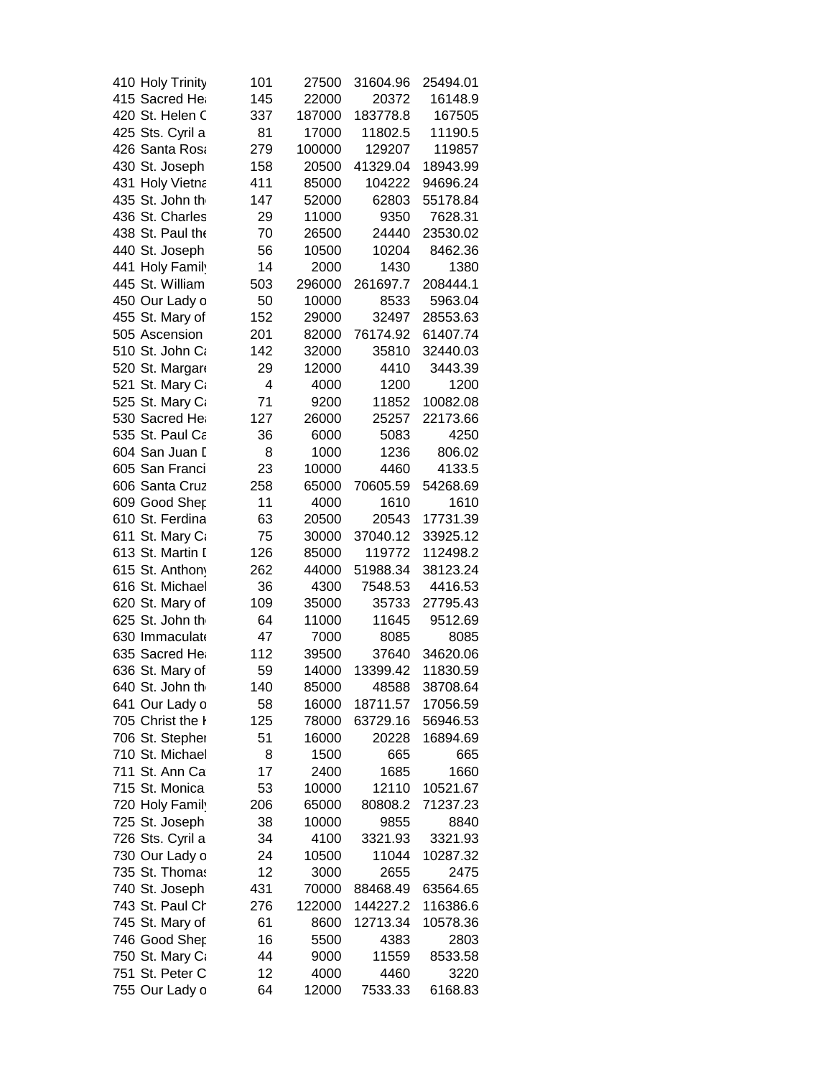| 410 Holy Trinity | 101 | 27500  | 31604.96 | 25494.01 |
|------------------|-----|--------|----------|----------|
| 415 Sacred Hea   | 145 | 22000  | 20372    | 16148.9  |
| 420 St. Helen C  | 337 | 187000 | 183778.8 | 167505   |
| 425 Sts. Cyril a | 81  | 17000  | 11802.5  | 11190.5  |
| 426 Santa Rosa   | 279 | 100000 | 129207   | 119857   |
| 430 St. Joseph   | 158 | 20500  | 41329.04 | 18943.99 |
| 431 Holy Vietna  | 411 | 85000  | 104222   | 94696.24 |
| 435 St. John th  | 147 | 52000  | 62803    | 55178.84 |
| 436 St. Charles  | 29  | 11000  | 9350     | 7628.31  |
| 438 St. Paul the | 70  | 26500  | 24440    | 23530.02 |
| 440 St. Joseph   | 56  | 10500  | 10204    | 8462.36  |
| 441 Holy Family  | 14  | 2000   | 1430     | 1380     |
| 445 St. William  | 503 | 296000 | 261697.7 | 208444.1 |
| 450 Our Lady o   | 50  | 10000  | 8533     | 5963.04  |
| 455 St. Mary of  | 152 | 29000  | 32497    | 28553.63 |
| 505 Ascension    | 201 | 82000  | 76174.92 | 61407.74 |
| 510 St. John Ca  | 142 | 32000  | 35810    | 32440.03 |
| 520 St. Margare  | 29  | 12000  | 4410     | 3443.39  |
| 521 St. Mary Ca  | 4   | 4000   | 1200     | 1200     |
| 525 St. Mary Ca  | 71  |        |          | 10082.08 |
| 530 Sacred Hea   |     | 9200   | 11852    |          |
|                  | 127 | 26000  | 25257    | 22173.66 |
| 535 St. Paul Ca  | 36  | 6000   | 5083     | 4250     |
| 604 San Juan I   | 8   | 1000   | 1236     | 806.02   |
| 605 San Franci   | 23  | 10000  | 4460     | 4133.5   |
| 606 Santa Cruz   | 258 | 65000  | 70605.59 | 54268.69 |
| 609 Good Shep    | 11  | 4000   | 1610     | 1610     |
| 610 St. Ferdina  | 63  | 20500  | 20543    | 17731.39 |
| 611 St. Mary Ca  | 75  | 30000  | 37040.12 | 33925.12 |
| 613 St. Martin I | 126 | 85000  | 119772   | 112498.2 |
| 615 St. Anthony  | 262 | 44000  | 51988.34 | 38123.24 |
| 616 St. Michael  | 36  | 4300   | 7548.53  | 4416.53  |
| 620 St. Mary of  | 109 | 35000  | 35733    | 27795.43 |
| 625 St. John th  | 64  | 11000  | 11645    | 9512.69  |
| 630 Immaculate   | 47  | 7000   | 8085     | 8085     |
| 635 Sacred He    | 112 | 39500  | 37640    | 34620.06 |
| 636 St. Mary of  | 59  | 14000  | 13399.42 | 11830.59 |
| 640 St. John th  | 140 | 85000  | 48588    | 38708.64 |
| 641 Our Lady o   | 58  | 16000  | 18711.57 | 17056.59 |
| 705 Christ the I | 125 | 78000  | 63729.16 | 56946.53 |
| 706 St. Stepher  | 51  | 16000  | 20228    | 16894.69 |
| 710 St. Michael  | 8   | 1500   | 665      | 665      |
| 711 St. Ann Ca   | 17  | 2400   | 1685     | 1660     |
| 715 St. Monica   | 53  | 10000  | 12110    | 10521.67 |
| 720 Holy Family  | 206 | 65000  | 80808.2  | 71237.23 |
| 725 St. Joseph   | 38  | 10000  | 9855     | 8840     |
| 726 Sts. Cyril a | 34  | 4100   | 3321.93  | 3321.93  |
| 730 Our Lady o   | 24  | 10500  | 11044    | 10287.32 |
| 735 St. Thomas   | 12  | 3000   | 2655     | 2475     |
| 740 St. Joseph   | 431 | 70000  | 88468.49 | 63564.65 |
| 743 St. Paul Ch  | 276 | 122000 | 144227.2 | 116386.6 |
| 745 St. Mary of  | 61  | 8600   | 12713.34 | 10578.36 |
| 746 Good Shep    | 16  | 5500   | 4383     | 2803     |
| 750 St. Mary Ca  | 44  | 9000   | 11559    | 8533.58  |
| 751 St. Peter C  | 12  | 4000   | 4460     | 3220     |
| 755 Our Lady o   | 64  | 12000  | 7533.33  | 6168.83  |